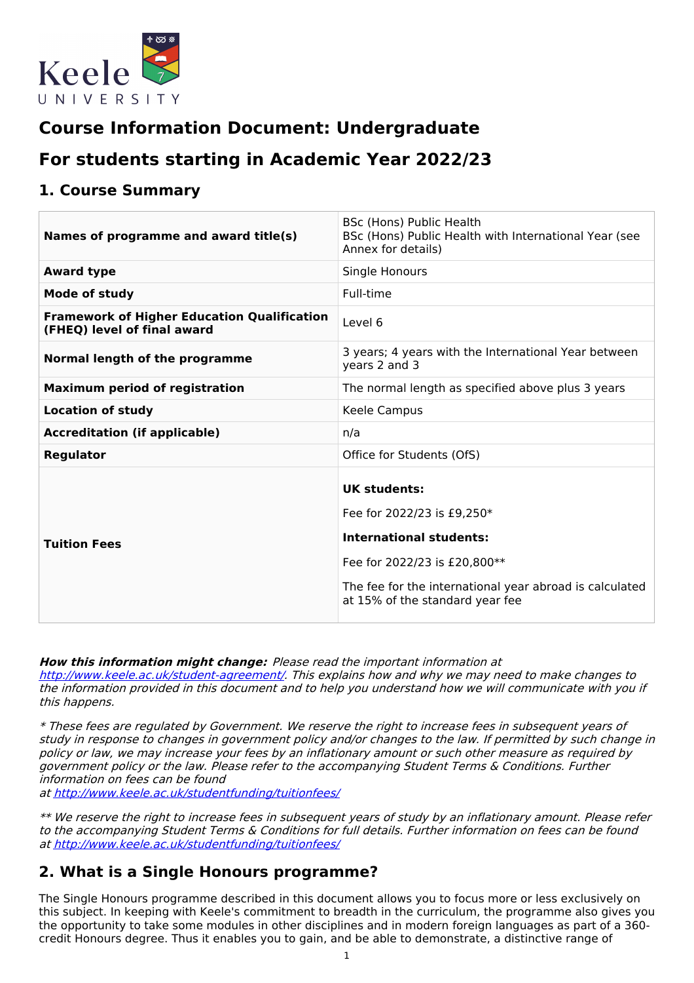

# **Course Information Document: Undergraduate**

# **For students starting in Academic Year 2022/23**

### **1. Course Summary**

| Names of programme and award title(s)                                             | BSc (Hons) Public Health<br>BSc (Hons) Public Health with International Year (see<br>Annex for details)                                                                                                           |
|-----------------------------------------------------------------------------------|-------------------------------------------------------------------------------------------------------------------------------------------------------------------------------------------------------------------|
| <b>Award type</b>                                                                 | Single Honours                                                                                                                                                                                                    |
| Mode of study                                                                     | Full-time                                                                                                                                                                                                         |
| <b>Framework of Higher Education Qualification</b><br>(FHEQ) level of final award | Level 6                                                                                                                                                                                                           |
| Normal length of the programme                                                    | 3 years; 4 years with the International Year between<br>years 2 and 3                                                                                                                                             |
| <b>Maximum period of registration</b>                                             | The normal length as specified above plus 3 years                                                                                                                                                                 |
| <b>Location of study</b>                                                          | Keele Campus                                                                                                                                                                                                      |
| <b>Accreditation (if applicable)</b>                                              | n/a                                                                                                                                                                                                               |
| <b>Regulator</b>                                                                  | Office for Students (OfS)                                                                                                                                                                                         |
| <b>Tuition Fees</b>                                                               | <b>UK students:</b><br>Fee for 2022/23 is £9,250*<br><b>International students:</b><br>Fee for 2022/23 is £20,800**<br>The fee for the international year abroad is calculated<br>at 15% of the standard year fee |

**How this information might change:** Please read the important information at <http://www.keele.ac.uk/student-agreement/>. This explains how and why we may need to make changes to the information provided in this document and to help you understand how we will communicate with you if this happens.

\* These fees are regulated by Government. We reserve the right to increase fees in subsequent years of study in response to changes in government policy and/or changes to the law. If permitted by such change in policy or law, we may increase your fees by an inflationary amount or such other measure as required by government policy or the law. Please refer to the accompanying Student Terms & Conditions. Further information on fees can be found

at <http://www.keele.ac.uk/studentfunding/tuitionfees/>

\*\* We reserve the right to increase fees in subsequent years of study by an inflationary amount. Please refer to the accompanying Student Terms & Conditions for full details. Further information on fees can be found at <http://www.keele.ac.uk/studentfunding/tuitionfees/>

### **2. What is a Single Honours programme?**

The Single Honours programme described in this document allows you to focus more or less exclusively on this subject. In keeping with Keele's commitment to breadth in the curriculum, the programme also gives you the opportunity to take some modules in other disciplines and in modern foreign languages as part of a 360 credit Honours degree. Thus it enables you to gain, and be able to demonstrate, a distinctive range of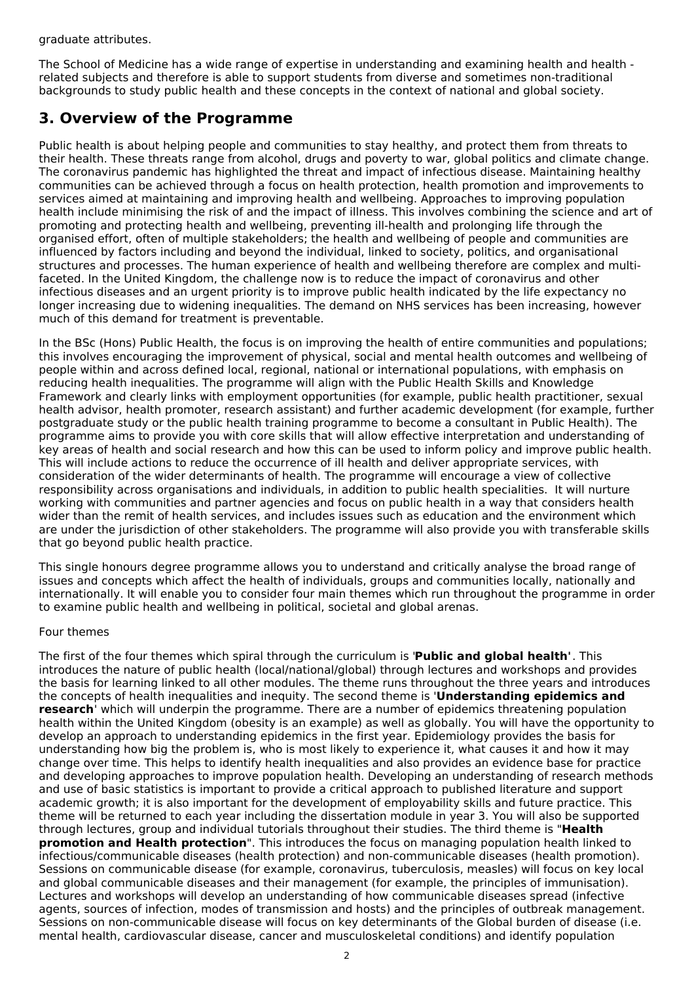graduate attributes.

The School of Medicine has a wide range of expertise in understanding and examining health and health related subjects and therefore is able to support students from diverse and sometimes non-traditional backgrounds to study public health and these concepts in the context of national and global society.

### **3. Overview of the Programme**

Public health is about helping people and communities to stay healthy, and protect them from threats to their health. These threats range from alcohol, drugs and poverty to war, global politics and climate change. The coronavirus pandemic has highlighted the threat and impact of infectious disease. Maintaining healthy communities can be achieved through a focus on health protection, health promotion and improvements to services aimed at maintaining and improving health and wellbeing. Approaches to improving population health include minimising the risk of and the impact of illness. This involves combining the science and art of promoting and protecting health and wellbeing, preventing ill-health and prolonging life through the organised effort, often of multiple stakeholders; the health and wellbeing of people and communities are influenced by factors including and beyond the individual, linked to society, politics, and organisational structures and processes. The human experience of health and wellbeing therefore are complex and multifaceted. In the United Kingdom, the challenge now is to reduce the impact of coronavirus and other infectious diseases and an urgent priority is to improve public health indicated by the life expectancy no longer increasing due to widening inequalities. The demand on NHS services has been increasing, however much of this demand for treatment is preventable.

In the BSc (Hons) Public Health, the focus is on improving the health of entire communities and populations; this involves encouraging the improvement of physical, social and mental health outcomes and wellbeing of people within and across defined local, regional, national or international populations, with emphasis on reducing health inequalities. The programme will align with the Public Health Skills and Knowledge Framework and clearly links with employment opportunities (for example, public health practitioner, sexual health advisor, health promoter, research assistant) and further academic development (for example, further postgraduate study or the public health training programme to become a consultant in Public Health). The programme aims to provide you with core skills that will allow effective interpretation and understanding of key areas of health and social research and how this can be used to inform policy and improve public health. This will include actions to reduce the occurrence of ill health and deliver appropriate services, with consideration of the wider determinants of health. The programme will encourage a view of collective responsibility across organisations and individuals, in addition to public health specialities. It will nurture working with communities and partner agencies and focus on public health in a way that considers health wider than the remit of health services, and includes issues such as education and the environment which are under the jurisdiction of other stakeholders. The programme will also provide you with transferable skills that go beyond public health practice.

This single honours degree programme allows you to understand and critically analyse the broad range of issues and concepts which affect the health of individuals, groups and communities locally, nationally and internationally. It will enable you to consider four main themes which run throughout the programme in order to examine public health and wellbeing in political, societal and global arenas.

#### Four themes

The first of the four themes which spiral through the curriculum is '**Public and global health'**. This introduces the nature of public health (local/national/global) through lectures and workshops and provides the basis for learning linked to all other modules. The theme runs throughout the three years and introduces the concepts of health inequalities and inequity. The second theme is '**Understanding epidemics and research**' which will underpin the programme. There are a number of epidemics threatening population health within the United Kingdom (obesity is an example) as well as globally. You will have the opportunity to develop an approach to understanding epidemics in the first year. Epidemiology provides the basis for understanding how big the problem is, who is most likely to experience it, what causes it and how it may change over time. This helps to identify health inequalities and also provides an evidence base for practice and developing approaches to improve population health. Developing an understanding of research methods and use of basic statistics is important to provide a critical approach to published literature and support academic growth; it is also important for the development of employability skills and future practice. This theme will be returned to each year including the dissertation module in year 3. You will also be supported through lectures, group and individual tutorials throughout their studies. The third theme is "**Health promotion and Health protection**". This introduces the focus on managing population health linked to infectious/communicable diseases (health protection) and non-communicable diseases (health promotion). Sessions on communicable disease (for example, coronavirus, tuberculosis, measles) will focus on key local and global communicable diseases and their management (for example, the principles of immunisation). Lectures and workshops will develop an understanding of how communicable diseases spread (infective agents, sources of infection, modes of transmission and hosts) and the principles of outbreak management. Sessions on non-communicable disease will focus on key determinants of the Global burden of disease (i.e. mental health, cardiovascular disease, cancer and musculoskeletal conditions) and identify population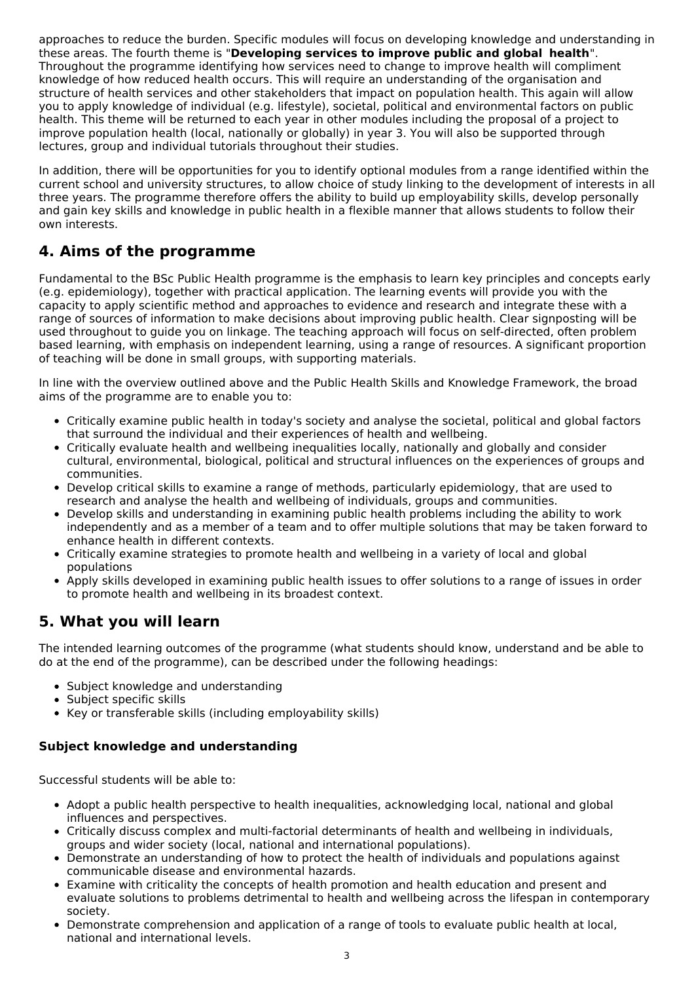approaches to reduce the burden. Specific modules will focus on developing knowledge and understanding in these areas. The fourth theme is "**Developing services to improve public and global health**". Throughout the programme identifying how services need to change to improve health will compliment knowledge of how reduced health occurs. This will require an understanding of the organisation and structure of health services and other stakeholders that impact on population health. This again will allow you to apply knowledge of individual (e.g. lifestyle), societal, political and environmental factors on public health. This theme will be returned to each year in other modules including the proposal of a project to improve population health (local, nationally or globally) in year 3. You will also be supported through lectures, group and individual tutorials throughout their studies.

In addition, there will be opportunities for you to identify optional modules from a range identified within the current school and university structures, to allow choice of study linking to the development of interests in all three years. The programme therefore offers the ability to build up employability skills, develop personally and gain key skills and knowledge in public health in a flexible manner that allows students to follow their own interests.

## **4. Aims of the programme**

Fundamental to the BSc Public Health programme is the emphasis to learn key principles and concepts early (e.g. epidemiology), together with practical application. The learning events will provide you with the capacity to apply scientific method and approaches to evidence and research and integrate these with a range of sources of information to make decisions about improving public health. Clear signposting will be used throughout to guide you on linkage. The teaching approach will focus on self-directed, often problem based learning, with emphasis on independent learning, using a range of resources. A significant proportion of teaching will be done in small groups, with supporting materials.

In line with the overview outlined above and the Public Health Skills and Knowledge Framework, the broad aims of the programme are to enable you to:

- Critically examine public health in today's society and analyse the societal, political and global factors that surround the individual and their experiences of health and wellbeing.
- Critically evaluate health and wellbeing inequalities locally, nationally and globally and consider cultural, environmental, biological, political and structural influences on the experiences of groups and communities.
- Develop critical skills to examine a range of methods, particularly epidemiology, that are used to research and analyse the health and wellbeing of individuals, groups and communities.
- Develop skills and understanding in examining public health problems including the ability to work independently and as a member of a team and to offer multiple solutions that may be taken forward to enhance health in different contexts.
- Critically examine strategies to promote health and wellbeing in a variety of local and global populations
- Apply skills developed in examining public health issues to offer solutions to a range of issues in order to promote health and wellbeing in its broadest context.

## **5. What you will learn**

The intended learning outcomes of the programme (what students should know, understand and be able to do at the end of the programme), can be described under the following headings:

- Subject knowledge and understanding
- Subject specific skills
- Key or transferable skills (including employability skills)

### **Subject knowledge and understanding**

Successful students will be able to:

- Adopt a public health perspective to health inequalities, acknowledging local, national and global influences and perspectives.
- Critically discuss complex and multi-factorial determinants of health and wellbeing in individuals, groups and wider society (local, national and international populations).
- Demonstrate an understanding of how to protect the health of individuals and populations against communicable disease and environmental hazards.
- Examine with criticality the concepts of health promotion and health education and present and evaluate solutions to problems detrimental to health and wellbeing across the lifespan in contemporary society.
- Demonstrate comprehension and application of a range of tools to evaluate public health at local, national and international levels.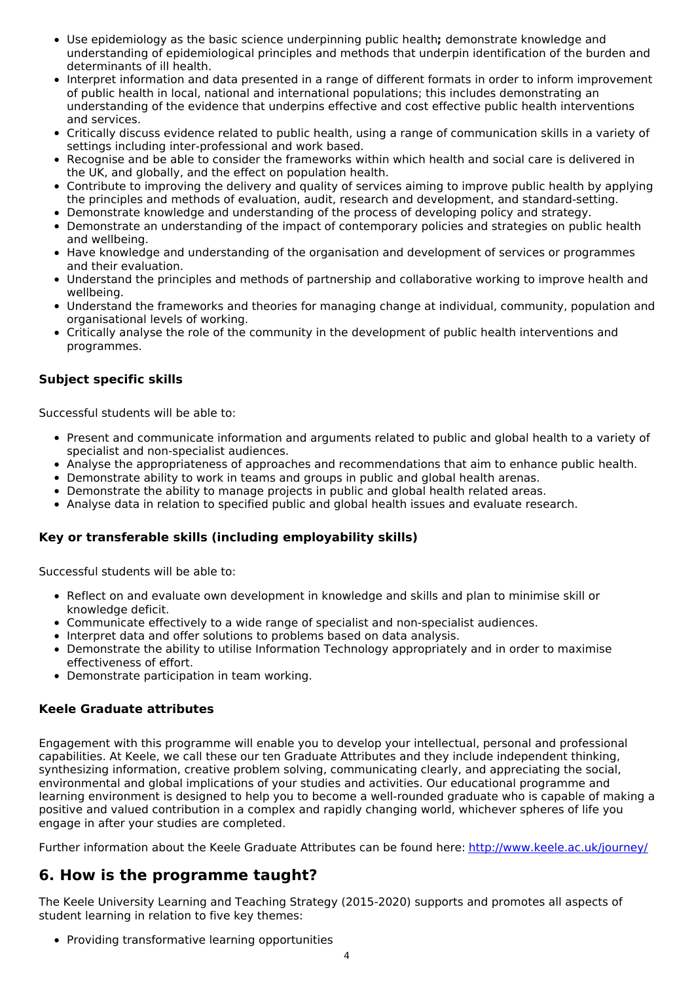- Use epidemiology as the basic science underpinning public health**;** demonstrate knowledge and understanding of epidemiological principles and methods that underpin identification of the burden and determinants of ill health.
- Interpret information and data presented in a range of different formats in order to inform improvement of public health in local, national and international populations; this includes demonstrating an understanding of the evidence that underpins effective and cost effective public health interventions and services.
- Critically discuss evidence related to public health, using a range of communication skills in a variety of settings including inter-professional and work based.
- Recognise and be able to consider the frameworks within which health and social care is delivered in the UK, and globally, and the effect on population health.
- Contribute to improving the delivery and quality of services aiming to improve public health by applying the principles and methods of evaluation, audit, research and development, and standard-setting.
- Demonstrate knowledge and understanding of the process of developing policy and strategy.
- Demonstrate an understanding of the impact of contemporary policies and strategies on public health and wellbeing.
- Have knowledge and understanding of the organisation and development of services or programmes and their evaluation.
- Understand the principles and methods of partnership and collaborative working to improve health and wellbeing.
- Understand the frameworks and theories for managing change at individual, community, population and organisational levels of working.
- Critically analyse the role of the community in the development of public health interventions and programmes.

#### **Subject specific skills**

Successful students will be able to:

- Present and communicate information and arguments related to public and global health to a variety of specialist and non-specialist audiences.
- Analyse the appropriateness of approaches and recommendations that aim to enhance public health.
- Demonstrate ability to work in teams and groups in public and global health arenas.
- Demonstrate the ability to manage projects in public and global health related areas.
- Analyse data in relation to specified public and global health issues and evaluate research.

#### **Key or transferable skills (including employability skills)**

Successful students will be able to:

- Reflect on and evaluate own development in knowledge and skills and plan to minimise skill or knowledge deficit.
- Communicate effectively to a wide range of specialist and non-specialist audiences.
- Interpret data and offer solutions to problems based on data analysis.
- Demonstrate the ability to utilise Information Technology appropriately and in order to maximise effectiveness of effort.
- Demonstrate participation in team working.

#### **Keele Graduate attributes**

Engagement with this programme will enable you to develop your intellectual, personal and professional capabilities. At Keele, we call these our ten Graduate Attributes and they include independent thinking, synthesizing information, creative problem solving, communicating clearly, and appreciating the social, environmental and global implications of your studies and activities. Our educational programme and learning environment is designed to help you to become a well-rounded graduate who is capable of making a positive and valued contribution in a complex and rapidly changing world, whichever spheres of life you engage in after your studies are completed.

Further information about the Keele Graduate Attributes can be found here: <http://www.keele.ac.uk/journey/>

### **6. How is the programme taught?**

The Keele University Learning and Teaching Strategy (2015-2020) supports and promotes all aspects of student learning in relation to five key themes:

• Providing transformative learning opportunities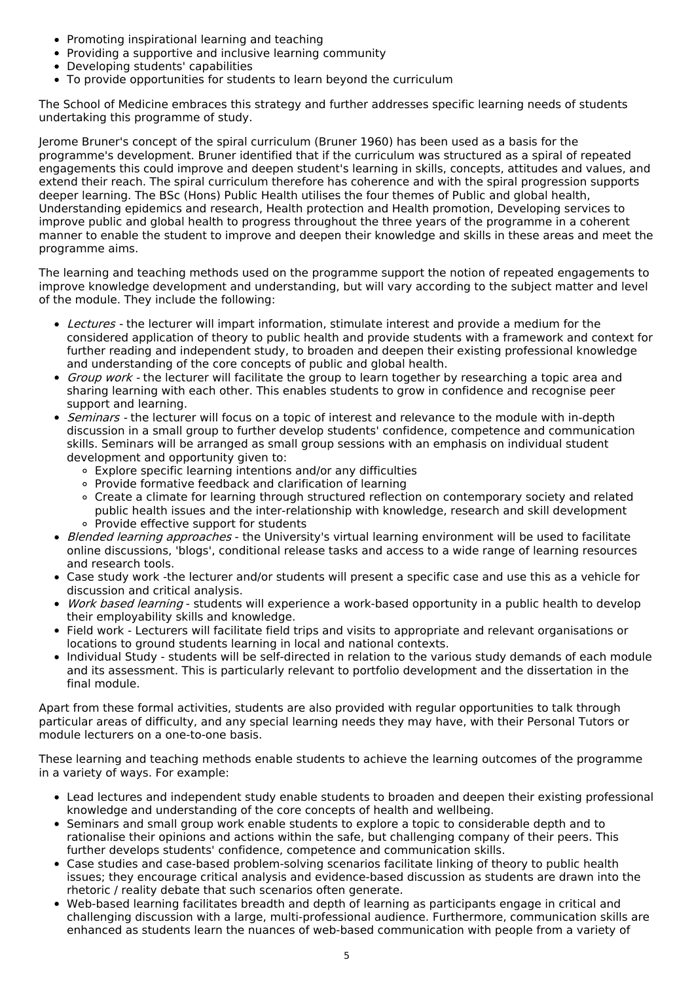- Promoting inspirational learning and teaching
- Providing a supportive and inclusive learning community
- Developing students' capabilities
- To provide opportunities for students to learn beyond the curriculum

The School of Medicine embraces this strategy and further addresses specific learning needs of students undertaking this programme of study.

Jerome Bruner's concept of the spiral curriculum (Bruner 1960) has been used as a basis for the programme's development. Bruner identified that if the curriculum was structured as a spiral of repeated engagements this could improve and deepen student's learning in skills, concepts, attitudes and values, and extend their reach. The spiral curriculum therefore has coherence and with the spiral progression supports deeper learning. The BSc (Hons) Public Health utilises the four themes of Public and global health, Understanding epidemics and research, Health protection and Health promotion, Developing services to improve public and global health to progress throughout the three years of the programme in a coherent manner to enable the student to improve and deepen their knowledge and skills in these areas and meet the programme aims.

The learning and teaching methods used on the programme support the notion of repeated engagements to improve knowledge development and understanding, but will vary according to the subject matter and level of the module. They include the following:

- Lectures the lecturer will impart information, stimulate interest and provide a medium for the considered application of theory to public health and provide students with a framework and context for further reading and independent study, to broaden and deepen their existing professional knowledge and understanding of the core concepts of public and global health.
- Group work the lecturer will facilitate the group to learn together by researching a topic area and sharing learning with each other. This enables students to grow in confidence and recognise peer support and learning.
- *Seminars -* the lecturer will focus on a topic of interest and relevance to the module with in-depth discussion in a small group to further develop students' confidence, competence and communication skills. Seminars will be arranged as small group sessions with an emphasis on individual student development and opportunity given to:
	- Explore specific learning intentions and/or any difficulties
	- Provide formative feedback and clarification of learning
	- Create a climate for learning through structured reflection on contemporary society and related public health issues and the inter-relationship with knowledge, research and skill development
	- Provide effective support for students
- Blended learning approaches the University's virtual learning environment will be used to facilitate online discussions, 'blogs', conditional release tasks and access to a wide range of learning resources and research tools.
- Case study work -the lecturer and/or students will present a specific case and use this as a vehicle for discussion and critical analysis.
- Work based learning students will experience a work-based opportunity in a public health to develop their employability skills and knowledge.
- Field work Lecturers will facilitate field trips and visits to appropriate and relevant organisations or locations to ground students learning in local and national contexts.
- Individual Study students will be self-directed in relation to the various study demands of each module and its assessment. This is particularly relevant to portfolio development and the dissertation in the final module.

Apart from these formal activities, students are also provided with regular opportunities to talk through particular areas of difficulty, and any special learning needs they may have, with their Personal Tutors or module lecturers on a one-to-one basis.

These learning and teaching methods enable students to achieve the learning outcomes of the programme in a variety of ways. For example:

- Lead lectures and independent study enable students to broaden and deepen their existing professional knowledge and understanding of the core concepts of health and wellbeing.
- Seminars and small group work enable students to explore a topic to considerable depth and to rationalise their opinions and actions within the safe, but challenging company of their peers. This further develops students' confidence, competence and communication skills.
- Case studies and case-based problem-solving scenarios facilitate linking of theory to public health issues; they encourage critical analysis and evidence-based discussion as students are drawn into the rhetoric / reality debate that such scenarios often generate.
- Web-based learning facilitates breadth and depth of learning as participants engage in critical and challenging discussion with a large, multi-professional audience. Furthermore, communication skills are enhanced as students learn the nuances of web-based communication with people from a variety of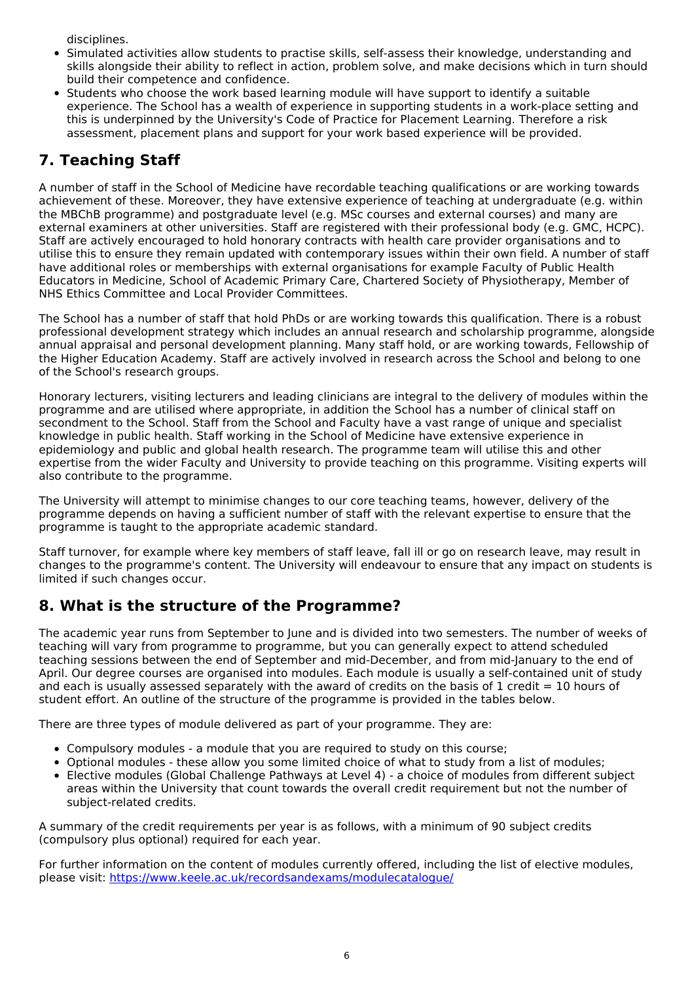disciplines.

- Simulated activities allow students to practise skills, self-assess their knowledge, understanding and skills alongside their ability to reflect in action, problem solve, and make decisions which in turn should build their competence and confidence.
- Students who choose the work based learning module will have support to identify a suitable experience. The School has a wealth of experience in supporting students in a work-place setting and this is underpinned by the University's Code of Practice for Placement Learning. Therefore a risk assessment, placement plans and support for your work based experience will be provided.

## **7. Teaching Staff**

A number of staff in the School of Medicine have recordable teaching qualifications or are working towards achievement of these. Moreover, they have extensive experience of teaching at undergraduate (e.g. within the MBChB programme) and postgraduate level (e.g. MSc courses and external courses) and many are external examiners at other universities. Staff are registered with their professional body (e.g. GMC, HCPC). Staff are actively encouraged to hold honorary contracts with health care provider organisations and to utilise this to ensure they remain updated with contemporary issues within their own field. A number of staff have additional roles or memberships with external organisations for example Faculty of Public Health Educators in Medicine, School of Academic Primary Care, Chartered Society of Physiotherapy, Member of NHS Ethics Committee and Local Provider Committees.

The School has a number of staff that hold PhDs or are working towards this qualification. There is a robust professional development strategy which includes an annual research and scholarship programme, alongside annual appraisal and personal development planning. Many staff hold, or are working towards, Fellowship of the Higher Education Academy. Staff are actively involved in research across the School and belong to one of the School's research groups.

Honorary lecturers, visiting lecturers and leading clinicians are integral to the delivery of modules within the programme and are utilised where appropriate, in addition the School has a number of clinical staff on secondment to the School. Staff from the School and Faculty have a vast range of unique and specialist knowledge in public health. Staff working in the School of Medicine have extensive experience in epidemiology and public and global health research. The programme team will utilise this and other expertise from the wider Faculty and University to provide teaching on this programme. Visiting experts will also contribute to the programme.

The University will attempt to minimise changes to our core teaching teams, however, delivery of the programme depends on having a sufficient number of staff with the relevant expertise to ensure that the programme is taught to the appropriate academic standard.

Staff turnover, for example where key members of staff leave, fall ill or go on research leave, may result in changes to the programme's content. The University will endeavour to ensure that any impact on students is limited if such changes occur.

## **8. What is the structure of the Programme?**

The academic year runs from September to June and is divided into two semesters. The number of weeks of teaching will vary from programme to programme, but you can generally expect to attend scheduled teaching sessions between the end of September and mid-December, and from mid-January to the end of April. Our degree courses are organised into modules. Each module is usually a self-contained unit of study and each is usually assessed separately with the award of credits on the basis of 1 credit  $= 10$  hours of student effort. An outline of the structure of the programme is provided in the tables below.

There are three types of module delivered as part of your programme. They are:

- Compulsory modules a module that you are required to study on this course;
- Optional modules these allow you some limited choice of what to study from a list of modules;
- Elective modules (Global Challenge Pathways at Level 4) a choice of modules from different subject areas within the University that count towards the overall credit requirement but not the number of subject-related credits.

A summary of the credit requirements per year is as follows, with a minimum of 90 subject credits (compulsory plus optional) required for each year.

For further information on the content of modules currently offered, including the list of elective modules, please visit: <https://www.keele.ac.uk/recordsandexams/modulecatalogue/>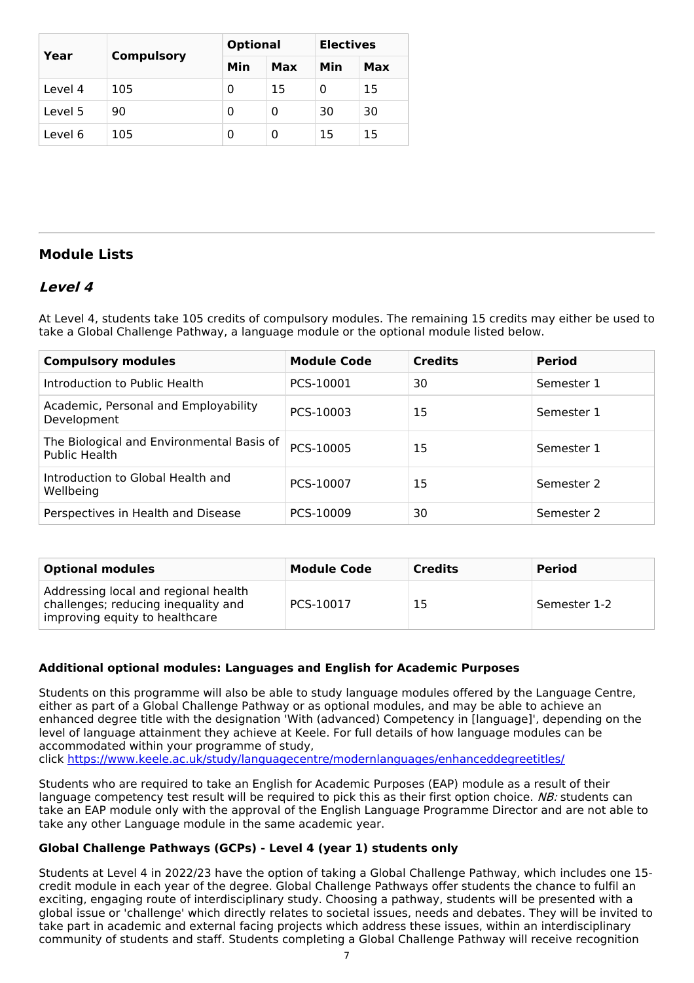|         |                   | <b>Optional</b> |     | <b>Electives</b> |     |
|---------|-------------------|-----------------|-----|------------------|-----|
| Year    | <b>Compulsory</b> | Min             | Max | Min              | Max |
| Level 4 | 105               | 0               | 15  | 0                | 15  |
| Level 5 | 90                | 0               | 0   | 30               | 30  |
| Level 6 | 105               | 0               | 0   | 15               | 15  |

### **Module Lists**

### **Level 4**

At Level 4, students take 105 credits of compulsory modules. The remaining 15 credits may either be used to take a Global Challenge Pathway, a language module or the optional module listed below.

| <b>Compulsory modules</b>                                  | <b>Module Code</b> | <b>Credits</b> | <b>Period</b> |
|------------------------------------------------------------|--------------------|----------------|---------------|
| Introduction to Public Health                              | PCS-10001          | 30             | Semester 1    |
| Academic, Personal and Employability<br>Development        | PCS-10003          | 15             | Semester 1    |
| The Biological and Environmental Basis of<br>Public Health | PCS-10005          | 15             | Semester 1    |
| Introduction to Global Health and<br>Wellbeing             | PCS-10007          | 15             | Semester 2    |
| Perspectives in Health and Disease                         | PCS-10009          | 30             | Semester 2    |

| <b>Optional modules</b>                                                                                       | <b>Module Code</b> | <b>Credits</b> | <b>Period</b> |
|---------------------------------------------------------------------------------------------------------------|--------------------|----------------|---------------|
| Addressing local and regional health<br>challenges; reducing inequality and<br>improving equity to healthcare | PCS-10017          | 15             | Semester 1-2  |

### **Additional optional modules: Languages and English for Academic Purposes**

Students on this programme will also be able to study language modules offered by the Language Centre, either as part of a Global Challenge Pathway or as optional modules, and may be able to achieve an enhanced degree title with the designation 'With (advanced) Competency in [language]', depending on the level of language attainment they achieve at Keele. For full details of how language modules can be accommodated within your programme of study,

click <https://www.keele.ac.uk/study/languagecentre/modernlanguages/enhanceddegreetitles/>

Students who are required to take an English for Academic Purposes (EAP) module as a result of their language competency test result will be required to pick this as their first option choice. NB: students can take an EAP module only with the approval of the English Language Programme Director and are not able to take any other Language module in the same academic year.

### **Global Challenge Pathways (GCPs) - Level 4 (year 1) students only**

Students at Level 4 in 2022/23 have the option of taking a Global Challenge Pathway, which includes one 15 credit module in each year of the degree. Global Challenge Pathways offer students the chance to fulfil an exciting, engaging route of interdisciplinary study. Choosing a pathway, students will be presented with a global issue or 'challenge' which directly relates to societal issues, needs and debates. They will be invited to take part in academic and external facing projects which address these issues, within an interdisciplinary community of students and staff. Students completing a Global Challenge Pathway will receive recognition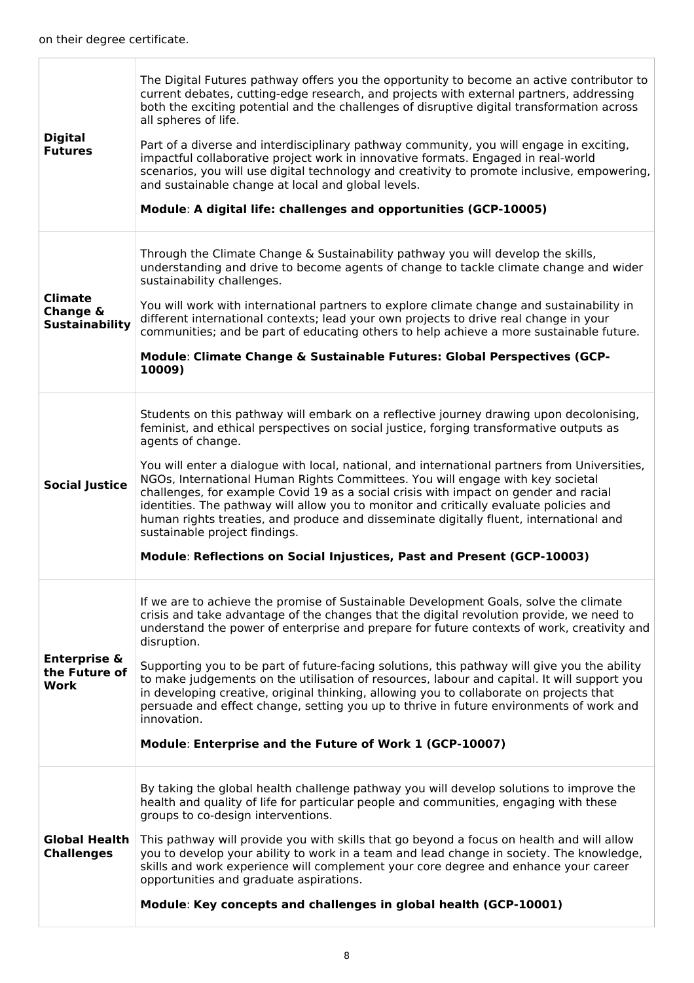Т

 $\overline{1}$ 

| <b>Digital</b><br><b>Futures</b>                    | The Digital Futures pathway offers you the opportunity to become an active contributor to<br>current debates, cutting-edge research, and projects with external partners, addressing<br>both the exciting potential and the challenges of disruptive digital transformation across<br>all spheres of life.<br>Part of a diverse and interdisciplinary pathway community, you will engage in exciting,<br>impactful collaborative project work in innovative formats. Engaged in real-world<br>scenarios, you will use digital technology and creativity to promote inclusive, empowering,<br>and sustainable change at local and global levels.<br>Module: A digital life: challenges and opportunities (GCP-10005)                                                               |
|-----------------------------------------------------|-----------------------------------------------------------------------------------------------------------------------------------------------------------------------------------------------------------------------------------------------------------------------------------------------------------------------------------------------------------------------------------------------------------------------------------------------------------------------------------------------------------------------------------------------------------------------------------------------------------------------------------------------------------------------------------------------------------------------------------------------------------------------------------|
| <b>Climate</b><br>Change &<br><b>Sustainability</b> | Through the Climate Change & Sustainability pathway you will develop the skills,<br>understanding and drive to become agents of change to tackle climate change and wider<br>sustainability challenges.<br>You will work with international partners to explore climate change and sustainability in<br>different international contexts; lead your own projects to drive real change in your<br>communities; and be part of educating others to help achieve a more sustainable future.<br>Module: Climate Change & Sustainable Futures: Global Perspectives (GCP-<br>10009)                                                                                                                                                                                                     |
| <b>Social Justice</b>                               | Students on this pathway will embark on a reflective journey drawing upon decolonising,<br>feminist, and ethical perspectives on social justice, forging transformative outputs as<br>agents of change.<br>You will enter a dialogue with local, national, and international partners from Universities,<br>NGOs, International Human Rights Committees. You will engage with key societal<br>challenges, for example Covid 19 as a social crisis with impact on gender and racial<br>identities. The pathway will allow you to monitor and critically evaluate policies and<br>human rights treaties, and produce and disseminate digitally fluent, international and<br>sustainable project findings.<br>Module: Reflections on Social Injustices, Past and Present (GCP-10003) |
| <b>Enterprise &amp;</b><br>the Future of<br>Work    | If we are to achieve the promise of Sustainable Development Goals, solve the climate<br>crisis and take advantage of the changes that the digital revolution provide, we need to<br>understand the power of enterprise and prepare for future contexts of work, creativity and<br>disruption.<br>Supporting you to be part of future-facing solutions, this pathway will give you the ability<br>to make judgements on the utilisation of resources, labour and capital. It will support you<br>in developing creative, original thinking, allowing you to collaborate on projects that<br>persuade and effect change, setting you up to thrive in future environments of work and<br>innovation.<br>Module: Enterprise and the Future of Work 1 (GCP-10007)                      |
| <b>Global Health</b><br><b>Challenges</b>           | By taking the global health challenge pathway you will develop solutions to improve the<br>health and quality of life for particular people and communities, engaging with these<br>groups to co-design interventions.<br>This pathway will provide you with skills that go beyond a focus on health and will allow<br>you to develop your ability to work in a team and lead change in society. The knowledge,<br>skills and work experience will complement your core degree and enhance your career<br>opportunities and graduate aspirations.<br>Module: Key concepts and challenges in global health (GCP-10001)                                                                                                                                                             |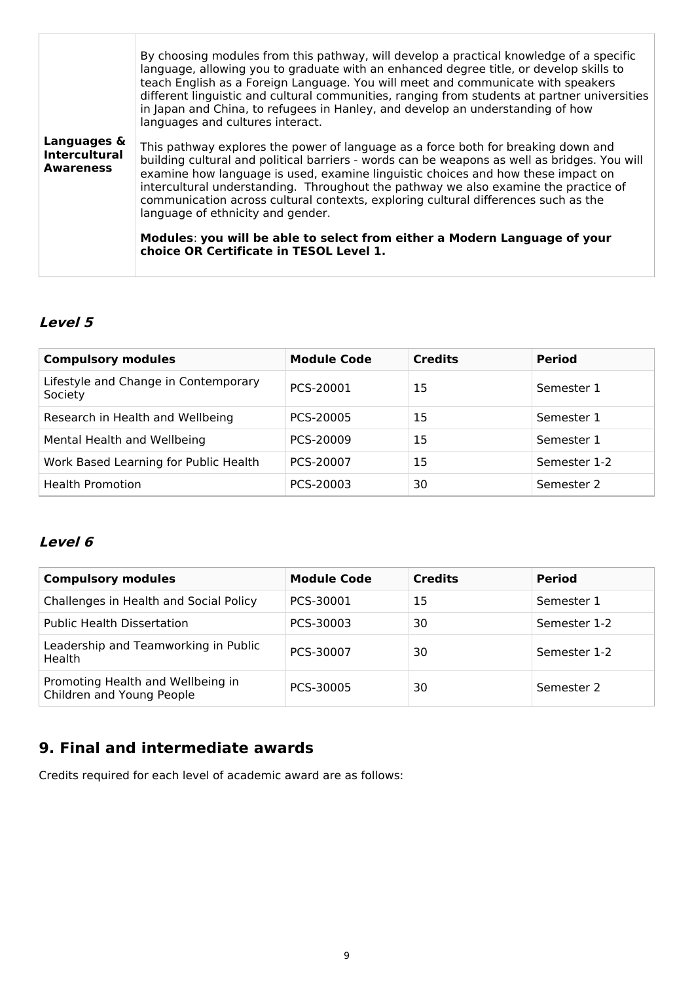|                                                         | By choosing modules from this pathway, will develop a practical knowledge of a specific<br>language, allowing you to graduate with an enhanced degree title, or develop skills to<br>teach English as a Foreign Language. You will meet and communicate with speakers<br>different linguistic and cultural communities, ranging from students at partner universities<br>in Japan and China, to refugees in Hanley, and develop an understanding of how<br>languages and cultures interact. |
|---------------------------------------------------------|---------------------------------------------------------------------------------------------------------------------------------------------------------------------------------------------------------------------------------------------------------------------------------------------------------------------------------------------------------------------------------------------------------------------------------------------------------------------------------------------|
| Languages &<br><b>Intercultural</b><br><b>Awareness</b> | This pathway explores the power of language as a force both for breaking down and<br>building cultural and political barriers - words can be weapons as well as bridges. You will<br>examine how language is used, examine linguistic choices and how these impact on<br>intercultural understanding. Throughout the pathway we also examine the practice of<br>communication across cultural contexts, exploring cultural differences such as the<br>language of ethnicity and gender.     |
|                                                         | Modules: you will be able to select from either a Modern Language of your<br>choice OR Certificate in TESOL Level 1.                                                                                                                                                                                                                                                                                                                                                                        |

## **Level 5**

| <b>Compulsory modules</b>                       | <b>Module Code</b> | <b>Credits</b> | <b>Period</b> |
|-------------------------------------------------|--------------------|----------------|---------------|
| Lifestyle and Change in Contemporary<br>Society | PCS-20001          | 15             | Semester 1    |
| Research in Health and Wellbeing                | PCS-20005          | 15             | Semester 1    |
| Mental Health and Wellbeing                     | PCS-20009          | 15             | Semester 1    |
| Work Based Learning for Public Health           | PCS-20007          | 15             | Semester 1-2  |
| <b>Health Promotion</b>                         | PCS-20003          | 30             | Semester 2    |

### **Level 6**

| <b>Compulsory modules</b>                                      | <b>Module Code</b> | <b>Credits</b> | <b>Period</b> |
|----------------------------------------------------------------|--------------------|----------------|---------------|
| Challenges in Health and Social Policy                         | PCS-30001          | 15             | Semester 1    |
| <b>Public Health Dissertation</b>                              | PCS-30003          | 30             | Semester 1-2  |
| Leadership and Teamworking in Public<br>Health                 | PCS-30007          | 30             | Semester 1-2  |
| Promoting Health and Wellbeing in<br>Children and Young People | PCS-30005          | 30             | Semester 2    |

## **9. Final and intermediate awards**

Credits required for each level of academic award are as follows: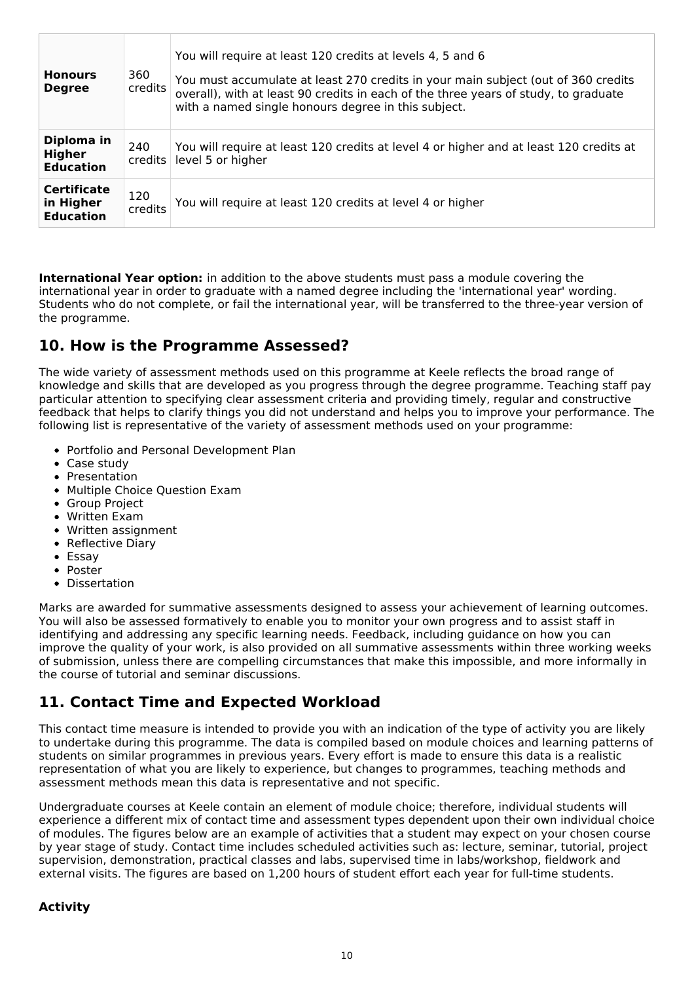| <b>Honours</b><br><b>Degree</b>                     | 360<br><b>credits</b> | You will require at least 120 credits at levels 4, 5 and 6<br>You must accumulate at least 270 credits in your main subject (out of 360 credits<br>overall), with at least 90 credits in each of the three years of study, to graduate<br>with a named single honours degree in this subject. |
|-----------------------------------------------------|-----------------------|-----------------------------------------------------------------------------------------------------------------------------------------------------------------------------------------------------------------------------------------------------------------------------------------------|
| Diploma in<br>Higher<br><b>Education</b>            | 240<br>$c$ redits     | You will require at least 120 credits at level 4 or higher and at least 120 credits at<br>level 5 or higher                                                                                                                                                                                   |
| <b>Certificate</b><br>in Higher<br><b>Education</b> | 120<br>credits        | You will require at least 120 credits at level 4 or higher                                                                                                                                                                                                                                    |

**International Year option:** in addition to the above students must pass a module covering the international year in order to graduate with a named degree including the 'international year' wording. Students who do not complete, or fail the international year, will be transferred to the three-year version of the programme.

### **10. How is the Programme Assessed?**

The wide variety of assessment methods used on this programme at Keele reflects the broad range of knowledge and skills that are developed as you progress through the degree programme. Teaching staff pay particular attention to specifying clear assessment criteria and providing timely, regular and constructive feedback that helps to clarify things you did not understand and helps you to improve your performance. The following list is representative of the variety of assessment methods used on your programme:

- Portfolio and Personal Development Plan
- Case study
- Presentation
- Multiple Choice Question Exam
- Group Project
- Written Exam
- Written assignment
- Reflective Diary
- Essav
- Poster
- Dissertation

Marks are awarded for summative assessments designed to assess your achievement of learning outcomes. You will also be assessed formatively to enable you to monitor your own progress and to assist staff in identifying and addressing any specific learning needs. Feedback, including guidance on how you can improve the quality of your work, is also provided on all summative assessments within three working weeks of submission, unless there are compelling circumstances that make this impossible, and more informally in the course of tutorial and seminar discussions.

## **11. Contact Time and Expected Workload**

This contact time measure is intended to provide you with an indication of the type of activity you are likely to undertake during this programme. The data is compiled based on module choices and learning patterns of students on similar programmes in previous years. Every effort is made to ensure this data is a realistic representation of what you are likely to experience, but changes to programmes, teaching methods and assessment methods mean this data is representative and not specific.

Undergraduate courses at Keele contain an element of module choice; therefore, individual students will experience a different mix of contact time and assessment types dependent upon their own individual choice of modules. The figures below are an example of activities that a student may expect on your chosen course by year stage of study. Contact time includes scheduled activities such as: lecture, seminar, tutorial, project supervision, demonstration, practical classes and labs, supervised time in labs/workshop, fieldwork and external visits. The figures are based on 1,200 hours of student effort each year for full-time students.

### **Activity**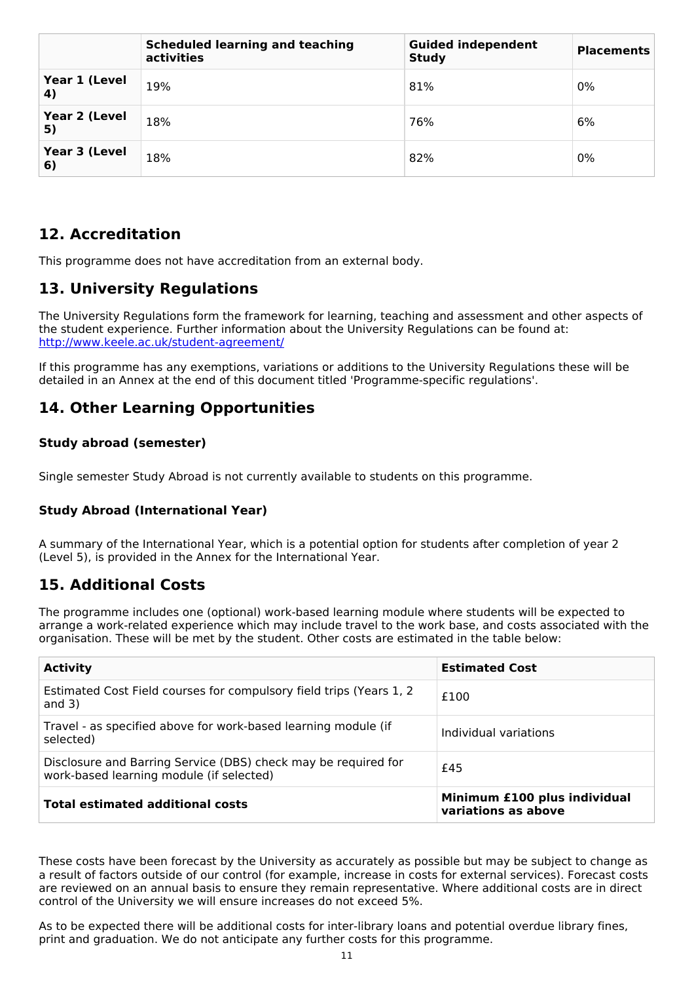|                                    | <b>Scheduled learning and teaching</b><br>activities | <b>Guided independent</b><br><b>Study</b> | <b>Placements</b> |
|------------------------------------|------------------------------------------------------|-------------------------------------------|-------------------|
| Year 1 (Level<br>$\left( 4\right)$ | 19%                                                  | 81%                                       | 0%                |
| Year 2 (Level<br>5)                | 18%                                                  | 76%                                       | 6%                |
| Year 3 (Level<br>6)                | 18%                                                  | 82%                                       | 0%                |

### **12. Accreditation**

This programme does not have accreditation from an external body.

## **13. University Regulations**

The University Regulations form the framework for learning, teaching and assessment and other aspects of the student experience. Further information about the University Regulations can be found at: <http://www.keele.ac.uk/student-agreement/>

If this programme has any exemptions, variations or additions to the University Regulations these will be detailed in an Annex at the end of this document titled 'Programme-specific regulations'.

### **14. Other Learning Opportunities**

### **Study abroad (semester)**

Single semester Study Abroad is not currently available to students on this programme.

### **Study Abroad (International Year)**

A summary of the International Year, which is a potential option for students after completion of year 2 (Level 5), is provided in the Annex for the International Year.

### **15. Additional Costs**

The programme includes one (optional) work-based learning module where students will be expected to arrange a work-related experience which may include travel to the work base, and costs associated with the organisation. These will be met by the student. Other costs are estimated in the table below:

| <b>Activity</b>                                                                                            | <b>Estimated Cost</b>                               |
|------------------------------------------------------------------------------------------------------------|-----------------------------------------------------|
| Estimated Cost Field courses for compulsory field trips (Years 1, 2)<br>and $3)$                           | £100                                                |
| Travel - as specified above for work-based learning module (if<br>selected)                                | Individual variations                               |
| Disclosure and Barring Service (DBS) check may be required for<br>work-based learning module (if selected) | £45                                                 |
| <b>Total estimated additional costs</b>                                                                    | Minimum £100 plus individual<br>variations as above |

These costs have been forecast by the University as accurately as possible but may be subject to change as a result of factors outside of our control (for example, increase in costs for external services). Forecast costs are reviewed on an annual basis to ensure they remain representative. Where additional costs are in direct control of the University we will ensure increases do not exceed 5%.

As to be expected there will be additional costs for inter-library loans and potential overdue library fines, print and graduation. We do not anticipate any further costs for this programme.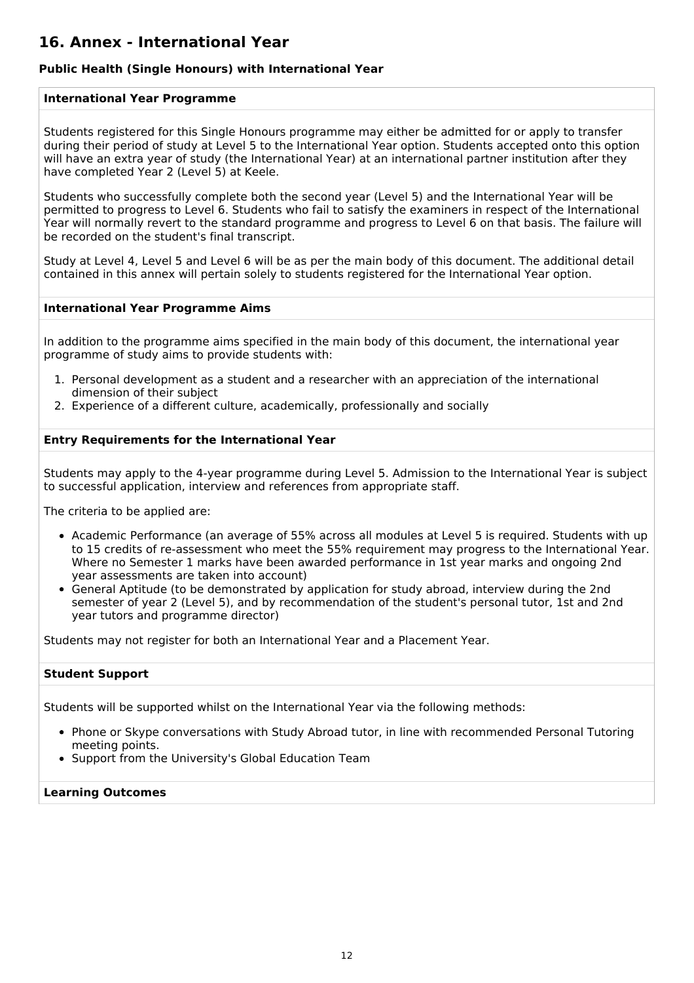### **16. Annex - International Year**

### **Public Health (Single Honours) with International Year**

#### **International Year Programme**

Students registered for this Single Honours programme may either be admitted for or apply to transfer during their period of study at Level 5 to the International Year option. Students accepted onto this option will have an extra year of study (the International Year) at an international partner institution after they have completed Year 2 (Level 5) at Keele.

Students who successfully complete both the second year (Level 5) and the International Year will be permitted to progress to Level 6. Students who fail to satisfy the examiners in respect of the International Year will normally revert to the standard programme and progress to Level 6 on that basis. The failure will be recorded on the student's final transcript.

Study at Level 4, Level 5 and Level 6 will be as per the main body of this document. The additional detail contained in this annex will pertain solely to students registered for the International Year option.

#### **International Year Programme Aims**

In addition to the programme aims specified in the main body of this document, the international year programme of study aims to provide students with:

- 1. Personal development as a student and a researcher with an appreciation of the international dimension of their subject
- 2. Experience of a different culture, academically, professionally and socially

#### **Entry Requirements for the International Year**

Students may apply to the 4-year programme during Level 5. Admission to the International Year is subject to successful application, interview and references from appropriate staff.

The criteria to be applied are:

- Academic Performance (an average of 55% across all modules at Level 5 is required. Students with up to 15 credits of re-assessment who meet the 55% requirement may progress to the International Year. Where no Semester 1 marks have been awarded performance in 1st year marks and ongoing 2nd year assessments are taken into account)
- General Aptitude (to be demonstrated by application for study abroad, interview during the 2nd semester of year 2 (Level 5), and by recommendation of the student's personal tutor, 1st and 2nd year tutors and programme director)

Students may not register for both an International Year and a Placement Year.

#### **Student Support**

Students will be supported whilst on the International Year via the following methods:

- Phone or Skype conversations with Study Abroad tutor, in line with recommended Personal Tutoring meeting points.
- Support from the University's Global Education Team

#### **Learning Outcomes**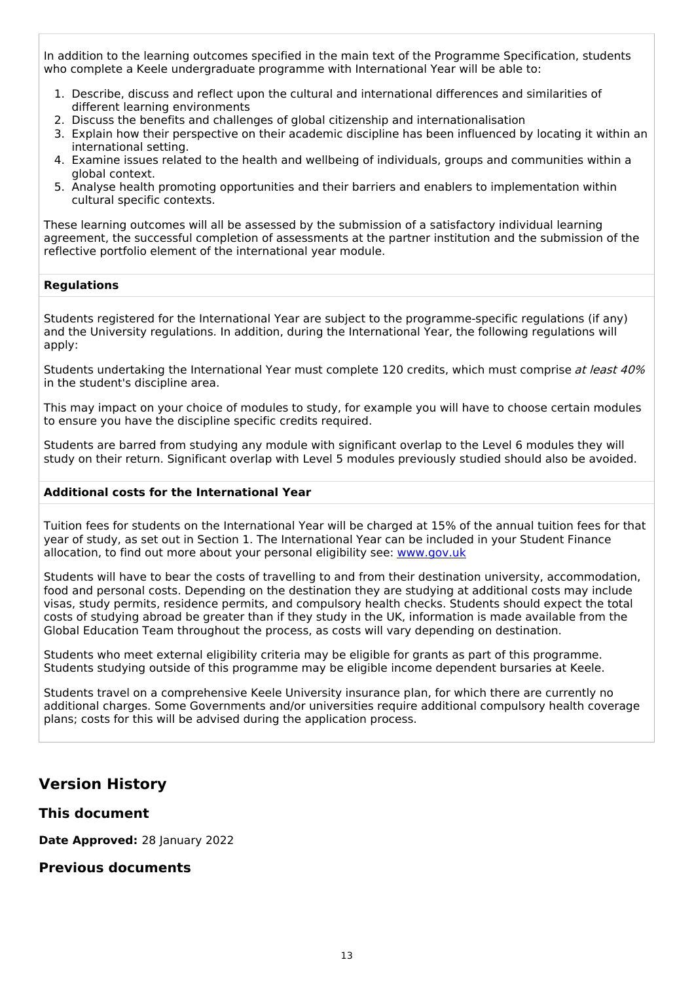In addition to the learning outcomes specified in the main text of the Programme Specification, students who complete a Keele undergraduate programme with International Year will be able to:

- 1. Describe, discuss and reflect upon the cultural and international differences and similarities of different learning environments
- 2. Discuss the benefits and challenges of global citizenship and internationalisation
- 3. Explain how their perspective on their academic discipline has been influenced by locating it within an international setting.
- 4. Examine issues related to the health and wellbeing of individuals, groups and communities within a global context.
- 5. Analyse health promoting opportunities and their barriers and enablers to implementation within cultural specific contexts.

These learning outcomes will all be assessed by the submission of a satisfactory individual learning agreement, the successful completion of assessments at the partner institution and the submission of the reflective portfolio element of the international year module.

#### **Regulations**

Students registered for the International Year are subject to the programme-specific regulations (if any) and the University regulations. In addition, during the International Year, the following regulations will apply:

Students undertaking the International Year must complete 120 credits, which must comprise at least 40% in the student's discipline area.

This may impact on your choice of modules to study, for example you will have to choose certain modules to ensure you have the discipline specific credits required.

Students are barred from studying any module with significant overlap to the Level 6 modules they will study on their return. Significant overlap with Level 5 modules previously studied should also be avoided.

#### **Additional costs for the International Year**

Tuition fees for students on the International Year will be charged at 15% of the annual tuition fees for that year of study, as set out in Section 1. The International Year can be included in your Student Finance allocation, to find out more about your personal eligibility see: [www.gov.uk](http://www.gov.uk/)

Students will have to bear the costs of travelling to and from their destination university, accommodation, food and personal costs. Depending on the destination they are studying at additional costs may include visas, study permits, residence permits, and compulsory health checks. Students should expect the total costs of studying abroad be greater than if they study in the UK, information is made available from the Global Education Team throughout the process, as costs will vary depending on destination.

Students who meet external eligibility criteria may be eligible for grants as part of this programme. Students studying outside of this programme may be eligible income dependent bursaries at Keele.

Students travel on a comprehensive Keele University insurance plan, for which there are currently no additional charges. Some Governments and/or universities require additional compulsory health coverage plans; costs for this will be advised during the application process.

### **Version History**

#### **This document**

**Date Approved:** 28 January 2022

### **Previous documents**